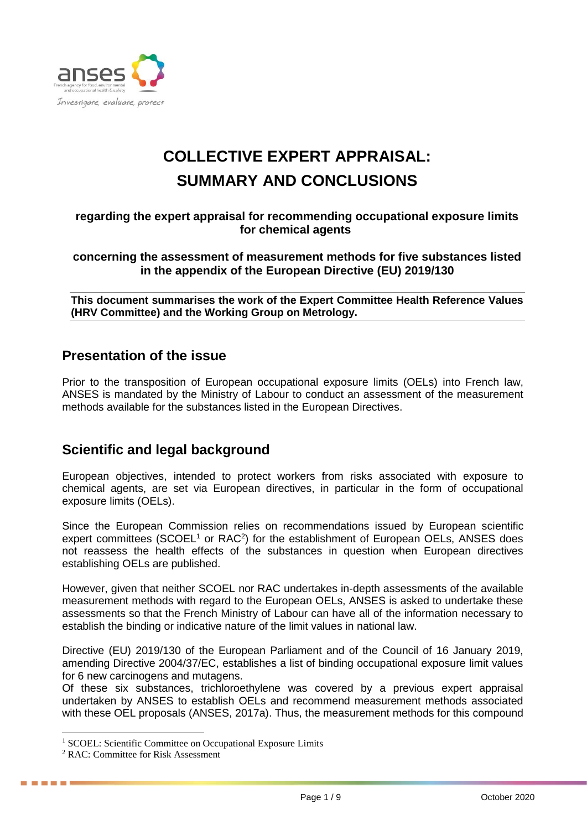

# **COLLECTIVE EXPERT APPRAISAL: SUMMARY AND CONCLUSIONS**

#### **regarding the expert appraisal for recommending occupational exposure limits for chemical agents**

**concerning the assessment of measurement methods for five substances listed in the appendix of the European Directive (EU) 2019/130**

**This document summarises the work of the Expert Committee Health Reference Values (HRV Committee) and the Working Group on Metrology.**

### **Presentation of the issue**

Prior to the transposition of European occupational exposure limits (OELs) into French law, ANSES is mandated by the Ministry of Labour to conduct an assessment of the measurement methods available for the substances listed in the European Directives.

## **Scientific and legal background**

European objectives, intended to protect workers from risks associated with exposure to chemical agents, are set via European directives, in particular in the form of occupational exposure limits (OELs).

Since the European Commission relies on recommendations issued by European scientific expert committees (SCOEL<sup>1</sup> or RAC<sup>2</sup>) for the establishment of European OELs, ANSES does not reassess the health effects of the substances in question when European directives establishing OELs are published.

However, given that neither SCOEL nor RAC undertakes in-depth assessments of the available measurement methods with regard to the European OELs, ANSES is asked to undertake these assessments so that the French Ministry of Labour can have all of the information necessary to establish the binding or indicative nature of the limit values in national law.

Directive (EU) 2019/130 of the European Parliament and of the Council of 16 January 2019, amending Directive 2004/37/EC, establishes a list of binding occupational exposure limit values for 6 new carcinogens and mutagens.

Of these six substances, trichloroethylene was covered by a previous expert appraisal undertaken by ANSES to establish OELs and recommend measurement methods associated with these OEL proposals (ANSES, 2017a). Thus, the measurement methods for this compound

-

. . . . **.** 

<sup>&</sup>lt;sup>1</sup> SCOEL: Scientific Committee on Occupational Exposure Limits

<sup>2</sup> RAC: Committee for Risk Assessment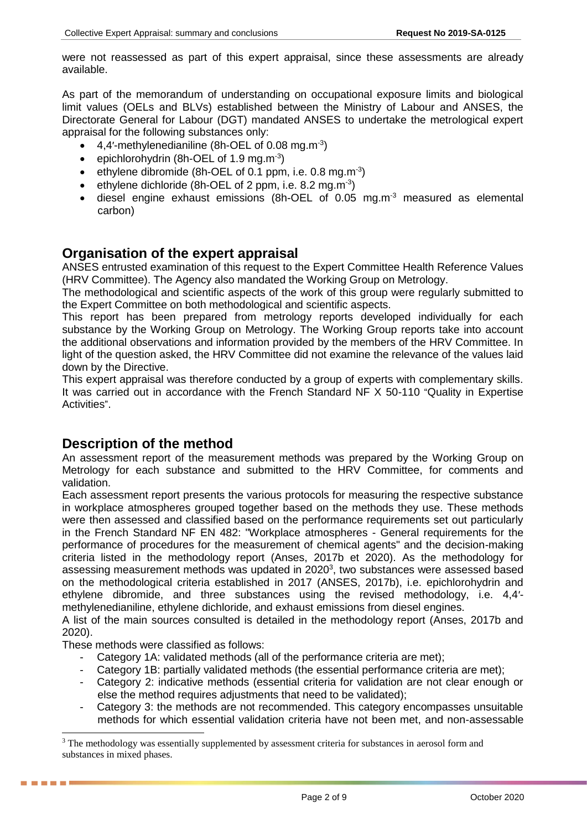were not reassessed as part of this expert appraisal, since these assessments are already available.

As part of the memorandum of understanding on occupational exposure limits and biological limit values (OELs and BLVs) established between the Ministry of Labour and ANSES, the Directorate General for Labour (DGT) mandated ANSES to undertake the metrological expert appraisal for the following substances only:

- $\bullet$  4,4'-methylenedianiline (8h-OEL of 0.08 mg.m<sup>-3</sup>)
- $\bullet$  epichlorohydrin (8h-OEL of 1.9 mg.m<sup>-3</sup>)
- ethylene dibromide (8h-OEL of 0.1 ppm, i.e. 0.8 mg.m<sup>-3</sup>)
- ethylene dichloride (8h-OEL of 2 ppm, i.e. 8.2 mg.m<sup>-3</sup>)
- diesel engine exhaust emissions (8h-OEL of 0.05 mg.m<sup>-3</sup> measured as elemental carbon)

### **Organisation of the expert appraisal**

ANSES entrusted examination of this request to the Expert Committee Health Reference Values (HRV Committee). The Agency also mandated the Working Group on Metrology.

The methodological and scientific aspects of the work of this group were regularly submitted to the Expert Committee on both methodological and scientific aspects.

This report has been prepared from metrology reports developed individually for each substance by the Working Group on Metrology. The Working Group reports take into account the additional observations and information provided by the members of the HRV Committee. In light of the question asked, the HRV Committee did not examine the relevance of the values laid down by the Directive.

This expert appraisal was therefore conducted by a group of experts with complementary skills. It was carried out in accordance with the French Standard NF X 50-110 "Quality in Expertise Activities".

#### **Description of the method**

An assessment report of the measurement methods was prepared by the Working Group on Metrology for each substance and submitted to the HRV Committee, for comments and validation.

Each assessment report presents the various protocols for measuring the respective substance in workplace atmospheres grouped together based on the methods they use. These methods were then assessed and classified based on the performance requirements set out particularly in the French Standard NF EN 482: "Workplace atmospheres - General requirements for the performance of procedures for the measurement of chemical agents" and the decision-making criteria listed in the methodology report (Anses, 2017b et 2020). As the methodology for assessing measurement methods was updated in 2020<sup>3</sup>, two substances were assessed based on the methodological criteria established in 2017 (ANSES, 2017b), i.e. epichlorohydrin and ethylene dibromide, and three substances using the revised methodology, i.e. 4,4′ methylenedianiline, ethylene dichloride, and exhaust emissions from diesel engines.

A list of the main sources consulted is detailed in the methodology report (Anses, 2017b and 2020).

These methods were classified as follows:

-

- Category 1A: validated methods (all of the performance criteria are met);
- Category 1B: partially validated methods (the essential performance criteria are met):
- Category 2: indicative methods (essential criteria for validation are not clear enough or else the method requires adjustments that need to be validated);
- Category 3: the methods are not recommended. This category encompasses unsuitable methods for which essential validation criteria have not been met, and non-assessable

<sup>&</sup>lt;sup>3</sup> The methodology was essentially supplemented by assessment criteria for substances in aerosol form and substances in mixed phases.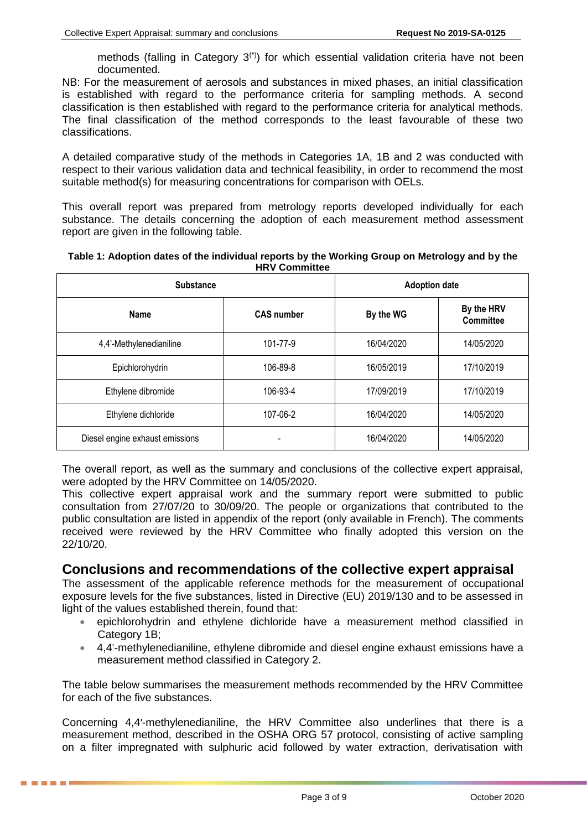methods (falling in Category  $3<sup>(*)</sup>$ ) for which essential validation criteria have not been documented.

NB: For the measurement of aerosols and substances in mixed phases, an initial classification is established with regard to the performance criteria for sampling methods. A second classification is then established with regard to the performance criteria for analytical methods. The final classification of the method corresponds to the least favourable of these two classifications.

A detailed comparative study of the methods in Categories 1A, 1B and 2 was conducted with respect to their various validation data and technical feasibility, in order to recommend the most suitable method(s) for measuring concentrations for comparison with OELs.

This overall report was prepared from metrology reports developed individually for each substance. The details concerning the adoption of each measurement method assessment report are given in the following table.

| Table 1: Adoption dates of the individual reports by the Working Group on Metrology and by the |
|------------------------------------------------------------------------------------------------|
| <b>HRV Committee</b>                                                                           |

| <b>Substance</b>                | <b>Adoption date</b> |            |                                |
|---------------------------------|----------------------|------------|--------------------------------|
| <b>Name</b>                     | <b>CAS number</b>    | By the WG  | By the HRV<br><b>Committee</b> |
| 4,4'-Methylenedianiline         | 101-77-9             | 16/04/2020 | 14/05/2020                     |
| Epichlorohydrin                 | 106-89-8             | 16/05/2019 | 17/10/2019                     |
| Ethylene dibromide              | 106-93-4             | 17/09/2019 | 17/10/2019                     |
| Ethylene dichloride             | 107-06-2             | 16/04/2020 | 14/05/2020                     |
| Diesel engine exhaust emissions |                      | 16/04/2020 | 14/05/2020                     |

The overall report, as well as the summary and conclusions of the collective expert appraisal, were adopted by the HRV Committee on 14/05/2020.

This collective expert appraisal work and the summary report were submitted to public consultation from 27/07/20 to 30/09/20. The people or organizations that contributed to the public consultation are listed in appendix of the report (only available in French). The comments received were reviewed by the HRV Committee who finally adopted this version on the 22/10/20.

#### **Conclusions and recommendations of the collective expert appraisal**

The assessment of the applicable reference methods for the measurement of occupational exposure levels for the five substances, listed in Directive (EU) 2019/130 and to be assessed in light of the values established therein, found that:

- epichlorohydrin and ethylene dichloride have a measurement method classified in Category 1B:
- 4,4'-methylenedianiline, ethylene dibromide and diesel engine exhaust emissions have a measurement method classified in Category 2.

The table below summarises the measurement methods recommended by the HRV Committee for each of the five substances.

Concerning 4,4′-methylenedianiline, the HRV Committee also underlines that there is a measurement method, described in the OSHA ORG 57 protocol, consisting of active sampling on a filter impregnated with sulphuric acid followed by water extraction, derivatisation with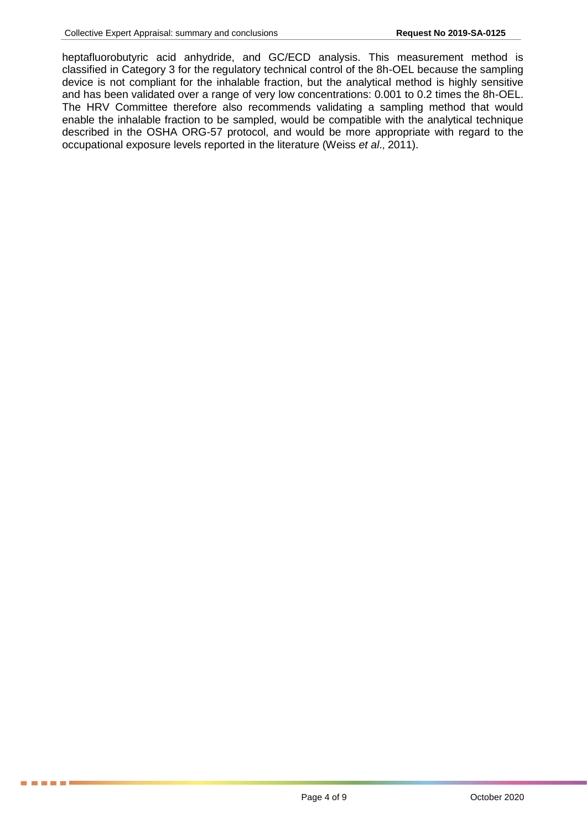**. . . . .** 

heptafluorobutyric acid anhydride, and GC/ECD analysis. This measurement method is classified in Category 3 for the regulatory technical control of the 8h-OEL because the sampling device is not compliant for the inhalable fraction, but the analytical method is highly sensitive and has been validated over a range of very low concentrations: 0.001 to 0.2 times the 8h-OEL. The HRV Committee therefore also recommends validating a sampling method that would enable the inhalable fraction to be sampled, would be compatible with the analytical technique described in the OSHA ORG-57 protocol, and would be more appropriate with regard to the occupational exposure levels reported in the literature (Weiss *et al*., 2011).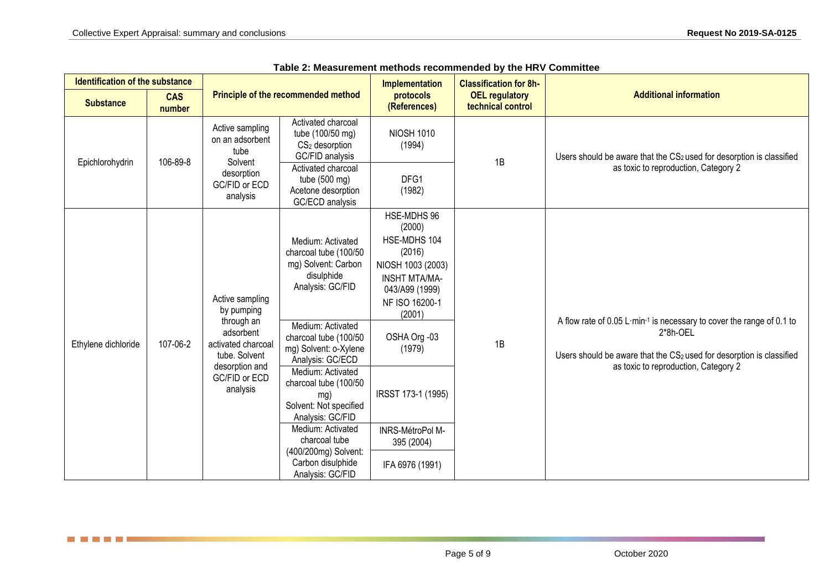<u> Tanzania de la Re</u>

| <b>Identification of the substance</b> |                                                                                                                                                                                                                                                                                                                                                                                                                                                                                                                                                                                                                                                                                                                                             |                                                                                                              |                                                                               | Implementation<br><b>Classification for 8h-</b> |                                            |                                                                                               |
|----------------------------------------|---------------------------------------------------------------------------------------------------------------------------------------------------------------------------------------------------------------------------------------------------------------------------------------------------------------------------------------------------------------------------------------------------------------------------------------------------------------------------------------------------------------------------------------------------------------------------------------------------------------------------------------------------------------------------------------------------------------------------------------------|--------------------------------------------------------------------------------------------------------------|-------------------------------------------------------------------------------|-------------------------------------------------|--------------------------------------------|-----------------------------------------------------------------------------------------------|
| <b>Substance</b>                       | <b>CAS</b><br>number                                                                                                                                                                                                                                                                                                                                                                                                                                                                                                                                                                                                                                                                                                                        | Principle of the recommended method                                                                          |                                                                               | protocols<br>(References)                       | <b>OEL regulatory</b><br>technical control | <b>Additional information</b>                                                                 |
| 106-89-8<br>Epichlorohydrin            |                                                                                                                                                                                                                                                                                                                                                                                                                                                                                                                                                                                                                                                                                                                                             | Active sampling<br>on an adsorbent<br>tube<br>Solvent                                                        | Activated charcoal<br>tube (100/50 mg)<br>$CS2$ desorption<br>GC/FID analysis | <b>NIOSH 1010</b><br>(1994)                     | 1B                                         | Users should be aware that the CS2 used for desorption is classified                          |
|                                        | desorption<br>GC/FID or ECD<br>analysis                                                                                                                                                                                                                                                                                                                                                                                                                                                                                                                                                                                                                                                                                                     | Activated charcoal<br>tube (500 mg)<br>Acetone desorption<br>GC/ECD analysis                                 | DFG1<br>(1982)                                                                |                                                 | as toxic to reproduction, Category 2       |                                                                                               |
|                                        | HSE-MDHS 96<br>(2000)<br>HSE-MDHS 104<br>Medium: Activated<br>(2016)<br>charcoal tube (100/50<br>mg) Solvent: Carbon<br>NIOSH 1003 (2003)<br>disulphide<br><b>INSHT MTA/MA-</b><br>Analysis: GC/FID<br>043/A99 (1999)<br>Active sampling<br>NF ISO 16200-1<br>by pumping<br>(2001)<br>through an<br>Medium: Activated<br>adsorbent<br>OSHA Org -03<br>charcoal tube (100/50<br>1B<br>107-06-2<br>activated charcoal<br>mg) Solvent: o-Xylene<br>(1979)<br>tube. Solvent<br>Analysis: GC/ECD<br>desorption and<br>Medium: Activated<br>GC/FID or ECD<br>charcoal tube (100/50<br>analysis<br>IRSST 173-1 (1995)<br>mg)<br>Solvent: Not specified<br>Analysis: GC/FID<br>Medium: Activated<br>INRS-MétroPol M-<br>charcoal tube<br>395 (2004) |                                                                                                              |                                                                               |                                                 |                                            | A flow rate of 0.05 L·min <sup>-1</sup> is necessary to cover the range of 0.1 to<br>2*8h-OEL |
| Ethylene dichloride                    |                                                                                                                                                                                                                                                                                                                                                                                                                                                                                                                                                                                                                                                                                                                                             | Users should be aware that the CS2 used for desorption is classified<br>as toxic to reproduction, Category 2 |                                                                               |                                                 |                                            |                                                                                               |
|                                        |                                                                                                                                                                                                                                                                                                                                                                                                                                                                                                                                                                                                                                                                                                                                             |                                                                                                              | (400/200mg) Solvent:                                                          |                                                 |                                            |                                                                                               |
|                                        |                                                                                                                                                                                                                                                                                                                                                                                                                                                                                                                                                                                                                                                                                                                                             |                                                                                                              | Carbon disulphide<br>Analysis: GC/FID                                         | IFA 6976 (1991)                                 |                                            |                                                                                               |

| Table 2: Measurement methods recommended by the HRV Committee |  |  |  |
|---------------------------------------------------------------|--|--|--|
|---------------------------------------------------------------|--|--|--|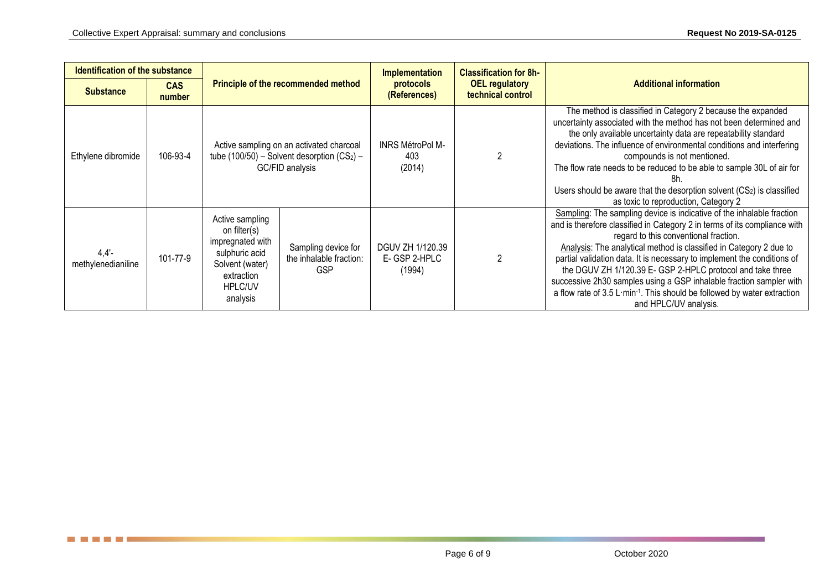<u> Tanzania de la Re</u>

| <b>Identification of the substance</b> |                      |                                                                                                                               |                                                              | <b>Implementation</b><br><b>Classification for 8h-</b>                  |                               |                                                                                                                                                                                                                                                                                                                                                                                                                                                                                                                                                                                       |
|----------------------------------------|----------------------|-------------------------------------------------------------------------------------------------------------------------------|--------------------------------------------------------------|-------------------------------------------------------------------------|-------------------------------|---------------------------------------------------------------------------------------------------------------------------------------------------------------------------------------------------------------------------------------------------------------------------------------------------------------------------------------------------------------------------------------------------------------------------------------------------------------------------------------------------------------------------------------------------------------------------------------|
| <b>Substance</b>                       | <b>CAS</b><br>number | <b>Principle of the recommended method</b>                                                                                    |                                                              | <b>OEL regulatory</b><br>protocols<br>technical control<br>(References) | <b>Additional information</b> |                                                                                                                                                                                                                                                                                                                                                                                                                                                                                                                                                                                       |
| Ethylene dibromide                     | 106-93-4             | Active sampling on an activated charcoal<br>tube (100/50) – Solvent desorption $(CS_2)$ –<br>GC/FID analysis                  |                                                              | INRS MétroPol M-<br>403<br>(2014)                                       |                               | The method is classified in Category 2 because the expanded<br>uncertainty associated with the method has not been determined and<br>the only available uncertainty data are repeatability standard<br>deviations. The influence of environmental conditions and interfering<br>compounds is not mentioned.<br>The flow rate needs to be reduced to be able to sample 30L of air for<br>Users should be aware that the desorption solvent $(CS_2)$ is classified<br>as toxic to reproduction, Category 2                                                                              |
| $4,4'$ -<br>methylenedianiline         | 101-77-9             | Active sampling<br>on filter(s)<br>impregnated with<br>sulphuric acid<br>Solvent (water)<br>extraction<br>HPLC/UV<br>analysis | Sampling device for<br>the inhalable fraction:<br><b>GSP</b> | DGUV ZH 1/120.39<br>E-GSP 2-HPLC<br>(1994)                              |                               | Sampling: The sampling device is indicative of the inhalable fraction<br>and is therefore classified in Category 2 in terms of its compliance with<br>regard to this conventional fraction.<br>Analysis: The analytical method is classified in Category 2 due to<br>partial validation data. It is necessary to implement the conditions of<br>the DGUV ZH 1/120.39 E- GSP 2-HPLC protocol and take three<br>successive 2h30 samples using a GSP inhalable fraction sampler with<br>a flow rate of 3.5 L·min-1. This should be followed by water extraction<br>and HPLC/UV analysis. |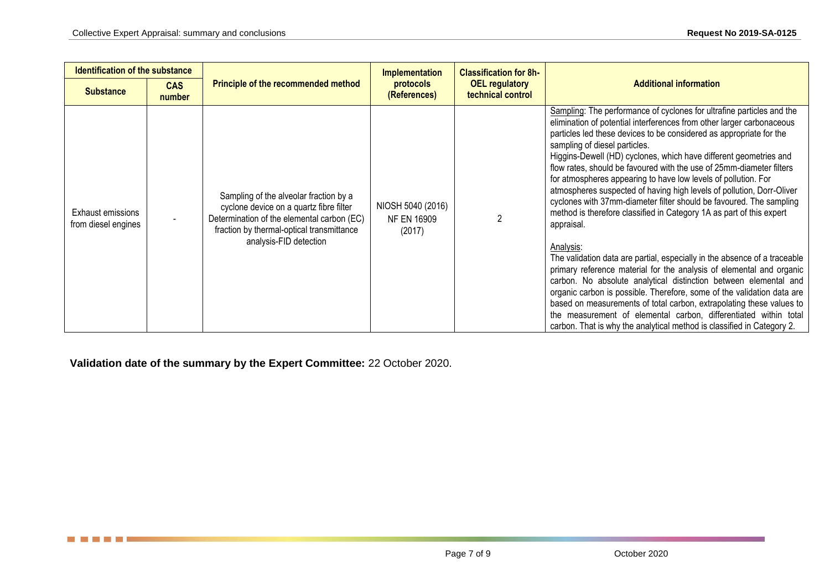| <b>Identification of the substance</b>   |                      |                                                                                                                                                                                                        | <b>Implementation</b>                                                   | <b>Classification for 8h-</b> | <b>Additional information</b>                                                                                                                                                                                                                                                                                                                                                                                                                                                                                                                                                                                                                                                                                                                                                                                                                                                                                                                                                                                                                                                                                                                                                                                                                     |
|------------------------------------------|----------------------|--------------------------------------------------------------------------------------------------------------------------------------------------------------------------------------------------------|-------------------------------------------------------------------------|-------------------------------|---------------------------------------------------------------------------------------------------------------------------------------------------------------------------------------------------------------------------------------------------------------------------------------------------------------------------------------------------------------------------------------------------------------------------------------------------------------------------------------------------------------------------------------------------------------------------------------------------------------------------------------------------------------------------------------------------------------------------------------------------------------------------------------------------------------------------------------------------------------------------------------------------------------------------------------------------------------------------------------------------------------------------------------------------------------------------------------------------------------------------------------------------------------------------------------------------------------------------------------------------|
| <b>Substance</b>                         | <b>CAS</b><br>number | <b>Principle of the recommended method</b>                                                                                                                                                             | protocols<br><b>OEL regulatory</b><br>technical control<br>(References) |                               |                                                                                                                                                                                                                                                                                                                                                                                                                                                                                                                                                                                                                                                                                                                                                                                                                                                                                                                                                                                                                                                                                                                                                                                                                                                   |
| Exhaust emissions<br>from diesel engines |                      | Sampling of the alveolar fraction by a<br>cyclone device on a quartz fibre filter<br>Determination of the elemental carbon (EC)<br>fraction by thermal-optical transmittance<br>analysis-FID detection | NIOSH 5040 (2016)<br><b>NF EN 16909</b><br>(2017)                       |                               | Sampling: The performance of cyclones for ultrafine particles and the<br>elimination of potential interferences from other larger carbonaceous<br>particles led these devices to be considered as appropriate for the<br>sampling of diesel particles.<br>Higgins-Dewell (HD) cyclones, which have different geometries and<br>flow rates, should be favoured with the use of 25mm-diameter filters<br>for atmospheres appearing to have low levels of pollution. For<br>atmospheres suspected of having high levels of pollution, Dorr-Oliver<br>cyclones with 37mm-diameter filter should be favoured. The sampling<br>method is therefore classified in Category 1A as part of this expert<br>appraisal.<br>Analysis:<br>The validation data are partial, especially in the absence of a traceable<br>primary reference material for the analysis of elemental and organic<br>carbon. No absolute analytical distinction between elemental and<br>organic carbon is possible. Therefore, some of the validation data are<br>based on measurements of total carbon, extrapolating these values to<br>the measurement of elemental carbon, differentiated within total<br>carbon. That is why the analytical method is classified in Category 2. |

**Validation date of the summary by the Expert Committee:** 22 October 2020.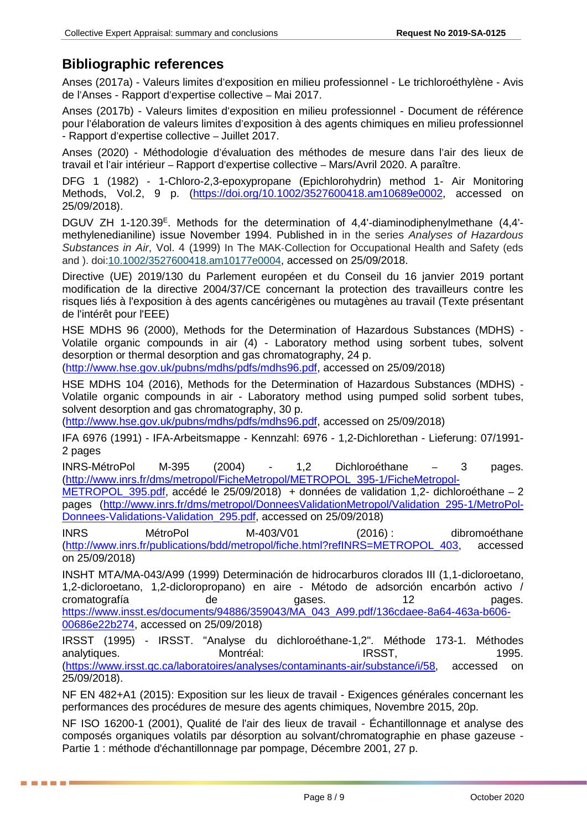## **Bibliographic references**

Anses (2017a) - Valeurs limites d'exposition en milieu professionnel - Le trichloroéthylène - Avis de l'Anses - Rapport d'expertise collective – Mai 2017.

Anses (2017b) - Valeurs limites d'exposition en milieu professionnel - Document de référence pour l'élaboration de valeurs limites d'exposition à des agents chimiques en milieu professionnel - Rapport d'expertise collective – Juillet 2017.

Anses (2020) - Méthodologie d'évaluation des méthodes de mesure dans l'air des lieux de travail et l'air intérieur – Rapport d'expertise collective – Mars/Avril 2020. A paraître.

DFG 1 (1982) - 1-Chloro-2,3-epoxypropane (Epichlorohydrin) method 1- Air Monitoring Methods, Vol.2, 9 p. [\(https://doi.org/10.1002/3527600418.am10689e0002,](https://doi.org/10.1002/3527600418.am10689e0002) accessed on 25/09/2018).

DGUV ZH 1-120.39<sup>E</sup>. Methods for the determination of 4,4'-diaminodiphenylmethane (4,4'methylenedianiline) issue November 1994. Published in in the series *Analyses of Hazardous Substances in Air*, Vol. 4 (1999) In The MAK‐Collection for Occupational Health and Safety (eds and ). doi[:10.1002/3527600418.am10177e0004](https://doi.org/10.1002/3527600418.am10177e0004), accessed on 25/09/2018.

Directive (UE) 2019/130 du Parlement européen et du Conseil du 16 janvier 2019 portant modification de la directive 2004/37/CE concernant la protection des travailleurs contre les risques liés à l'exposition à des agents cancérigènes ou mutagènes au travail (Texte présentant de l'intérêt pour l'EEE)

HSE MDHS 96 (2000), Methods for the Determination of Hazardous Substances (MDHS) - Volatile organic compounds in air (4) - Laboratory method using sorbent tubes, solvent desorption or thermal desorption and gas chromatography, 24 p.

[\(http://www.hse.gov.uk/pubns/mdhs/pdfs/mdhs96.pdf,](http://www.hse.gov.uk/pubns/mdhs/pdfs/mdhs96.pdf) accessed on 25/09/2018)

HSE MDHS 104 (2016), Methods for the Determination of Hazardous Substances (MDHS) - Volatile organic compounds in air - Laboratory method using pumped solid sorbent tubes, solvent desorption and gas chromatography, 30 p.

[\(http://www.hse.gov.uk/pubns/mdhs/pdfs/mdhs96.pdf,](http://www.hse.gov.uk/pubns/mdhs/pdfs/mdhs96.pdf) accessed on 25/09/2018)

IFA 6976 (1991) - IFA-Arbeitsmappe - Kennzahl: 6976 - 1,2-Dichlorethan - Lieferung: 07/1991- 2 pages

INRS-MétroPol M-395 (2004) - 1,2 Dichloroéthane – 3 pages. [\(http://www.inrs.fr/dms/metropol/FicheMetropol/METROPOL\\_395-1/FicheMetropol-](http://www.inrs.fr/dms/metropol/FicheMetropol/METROPOL_395-1/FicheMetropol-METROPOL_395.pdf)

[METROPOL\\_395.pdf,](http://www.inrs.fr/dms/metropol/FicheMetropol/METROPOL_395-1/FicheMetropol-METROPOL_395.pdf) accédé le 25/09/2018) + données de validation 1,2- dichloroéthane – 2 pages [\(http://www.inrs.fr/dms/metropol/DonneesValidationMetropol/Validation\\_295-1/MetroPol-](http://www.inrs.fr/dms/metropol/DonneesValidationMetropol/Validation_295-1/MetroPol-Donnees-Validations-Validation_295.pdf)[Donnees-Validations-Validation\\_295.pdf,](http://www.inrs.fr/dms/metropol/DonneesValidationMetropol/Validation_295-1/MetroPol-Donnees-Validations-Validation_295.pdf) accessed on 25/09/2018)

INRS MétroPol M-403/V01 (2016) : dibromoéthane [\(http://www.inrs.fr/publications/bdd/metropol/fiche.html?refINRS=METROPOL\\_403,](http://www.inrs.fr/publications/bdd/metropol/fiche.html?refINRS=METROPOL_403) accessed on 25/09/2018)

INSHT MTA/MA-043/A99 (1999) Determinación de hidrocarburos clorados III (1,1-dicloroetano, 1,2-dicloroetano, 1,2-dicloropropano) en aire - Método de adsorción encarbón activo / cromatografía de gases. 12 pages. [https://www.insst.es/documents/94886/359043/MA\\_043\\_A99.pdf/136cdaee-8a64-463a-b606-](https://www.insst.es/documents/94886/359043/MA_043_A99.pdf/136cdaee-8a64-463a-b606-00686e22b274) [00686e22b274,](https://www.insst.es/documents/94886/359043/MA_043_A99.pdf/136cdaee-8a64-463a-b606-00686e22b274) accessed on 25/09/2018)

IRSST (1995) - IRSST. "Analyse du dichloroéthane-1,2". Méthode 173-1. Méthodes analytiques. Montréal: IRSST, 1995. [\(https://www.irsst.qc.ca/laboratoires/analyses/contaminants-air/substance/i/58,](https://www.irsst.qc.ca/laboratoires/analyses/contaminants-air/substance/i/58) accessed on 25/09/2018).

NF EN 482+A1 (2015): Exposition sur les lieux de travail - Exigences générales concernant les performances des procédures de mesure des agents chimiques, Novembre 2015, 20p.

NF ISO 16200-1 (2001), Qualité de l'air des lieux de travail - Échantillonnage et analyse des composés organiques volatils par désorption au solvant/chromatographie en phase gazeuse - Partie 1 : méthode d'échantillonnage par pompage, Décembre 2001, 27 p.